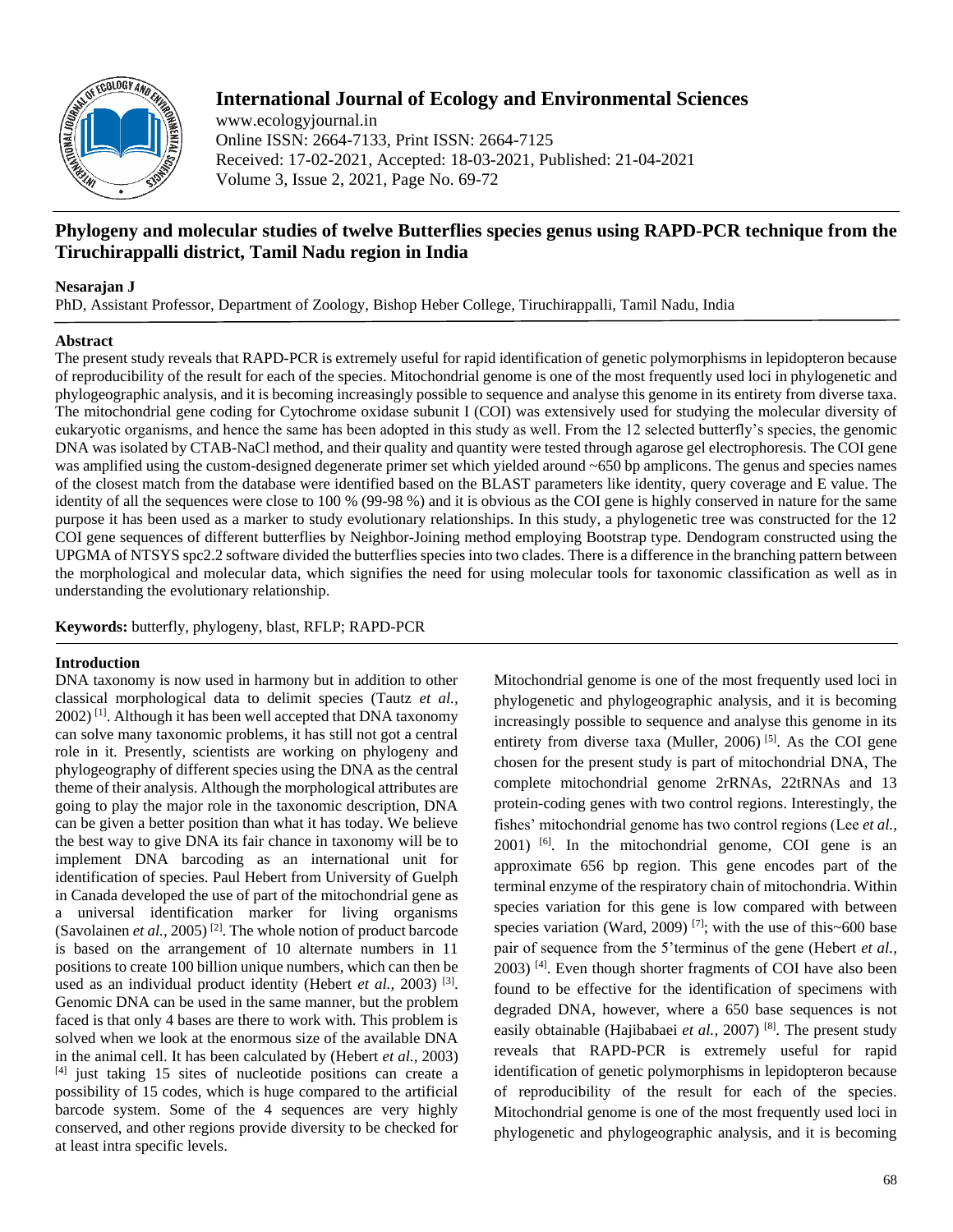

# **International Journal of Ecology and Environmental Sciences**

www.ecologyjournal.in Online ISSN: 2664-7133, Print ISSN: 2664-7125 Received: 17-02-2021, Accepted: 18-03-2021, Published: 21-04-2021 Volume 3, Issue 2, 2021, Page No. 69-72

# **Phylogeny and molecular studies of twelve Butterflies species genus using RAPD-PCR technique from the Tiruchirappalli district, Tamil Nadu region in India**

## **Nesarajan J**

PhD, Assistant Professor, Department of Zoology, Bishop Heber College, Tiruchirappalli, Tamil Nadu, India

# **Abstract**

The present study reveals that RAPD-PCR is extremely useful for rapid identification of genetic polymorphisms in lepidopteron because of reproducibility of the result for each of the species. Mitochondrial genome is one of the most frequently used loci in phylogenetic and phylogeographic analysis, and it is becoming increasingly possible to sequence and analyse this genome in its entirety from diverse taxa. The mitochondrial gene coding for Cytochrome oxidase subunit I (COI) was extensively used for studying the molecular diversity of eukaryotic organisms, and hence the same has been adopted in this study as well. From the 12 selected butterfly's species, the genomic DNA was isolated by CTAB-NaCl method, and their quality and quantity were tested through agarose gel electrophoresis. The COI gene was amplified using the custom-designed degenerate primer set which yielded around ~650 bp amplicons. The genus and species names of the closest match from the database were identified based on the BLAST parameters like identity, query coverage and E value. The identity of all the sequences were close to 100 % (99-98 %) and it is obvious as the COI gene is highly conserved in nature for the same purpose it has been used as a marker to study evolutionary relationships. In this study, a phylogenetic tree was constructed for the 12 COI gene sequences of different butterflies by Neighbor-Joining method employing Bootstrap type. Dendogram constructed using the UPGMA of NTSYS spc2.2 software divided the butterflies species into two clades. There is a difference in the branching pattern between the morphological and molecular data, which signifies the need for using molecular tools for taxonomic classification as well as in understanding the evolutionary relationship.

**Keywords:** butterfly, phylogeny, blast, RFLP; RAPD-PCR

# **Introduction**

DNA taxonomy is now used in harmony but in addition to other classical morphological data to delimit species (Tautz *et al.,* 2002) [1]. Although it has been well accepted that DNA taxonomy can solve many taxonomic problems, it has still not got a central role in it. Presently, scientists are working on phylogeny and phylogeography of different species using the DNA as the central theme of their analysis. Although the morphological attributes are going to play the major role in the taxonomic description, DNA can be given a better position than what it has today. We believe the best way to give DNA its fair chance in taxonomy will be to implement DNA barcoding as an international unit for identification of species. Paul Hebert from University of Guelph in Canada developed the use of part of the mitochondrial gene as a universal identification marker for living organisms (Savolainen *et al.,* 2005) [2]. The whole notion of product barcode is based on the arrangement of 10 alternate numbers in 11 positions to create 100 billion unique numbers, which can then be used as an individual product identity (Hebert *et al.*, 2003)<sup>[3]</sup>. Genomic DNA can be used in the same manner, but the problem faced is that only 4 bases are there to work with. This problem is solved when we look at the enormous size of the available DNA in the animal cell. It has been calculated by (Hebert *et al.,* 2003) [4] just taking 15 sites of nucleotide positions can create a possibility of 15 codes, which is huge compared to the artificial barcode system. Some of the 4 sequences are very highly conserved, and other regions provide diversity to be checked for at least intra specific levels.

Mitochondrial genome is one of the most frequently used loci in phylogenetic and phylogeographic analysis, and it is becoming increasingly possible to sequence and analyse this genome in its entirety from diverse taxa (Muller, 2006)<sup>[5]</sup>. As the COI gene chosen for the present study is part of mitochondrial DNA, The complete mitochondrial genome 2rRNAs, 22tRNAs and 13 protein-coding genes with two control regions. Interestingly, the fishes' mitochondrial genome has two control regions (Lee *et al.,*  $2001$ ) <sup>[6]</sup>. In the mitochondrial genome, COI gene is an approximate 656 bp region. This gene encodes part of the terminal enzyme of the respiratory chain of mitochondria. Within species variation for this gene is low compared with between species variation (Ward, 2009)<sup>[7]</sup>; with the use of this~600 base pair of sequence from the 5'terminus of the gene (Hebert *et al.,* 2003) [4]. Even though shorter fragments of COI have also been found to be effective for the identification of specimens with degraded DNA, however, where a 650 base sequences is not easily obtainable (Hajibabaei *et al.,* 2007) [8]. The present study reveals that RAPD-PCR is extremely useful for rapid identification of genetic polymorphisms in lepidopteron because of reproducibility of the result for each of the species. Mitochondrial genome is one of the most frequently used loci in phylogenetic and phylogeographic analysis, and it is becoming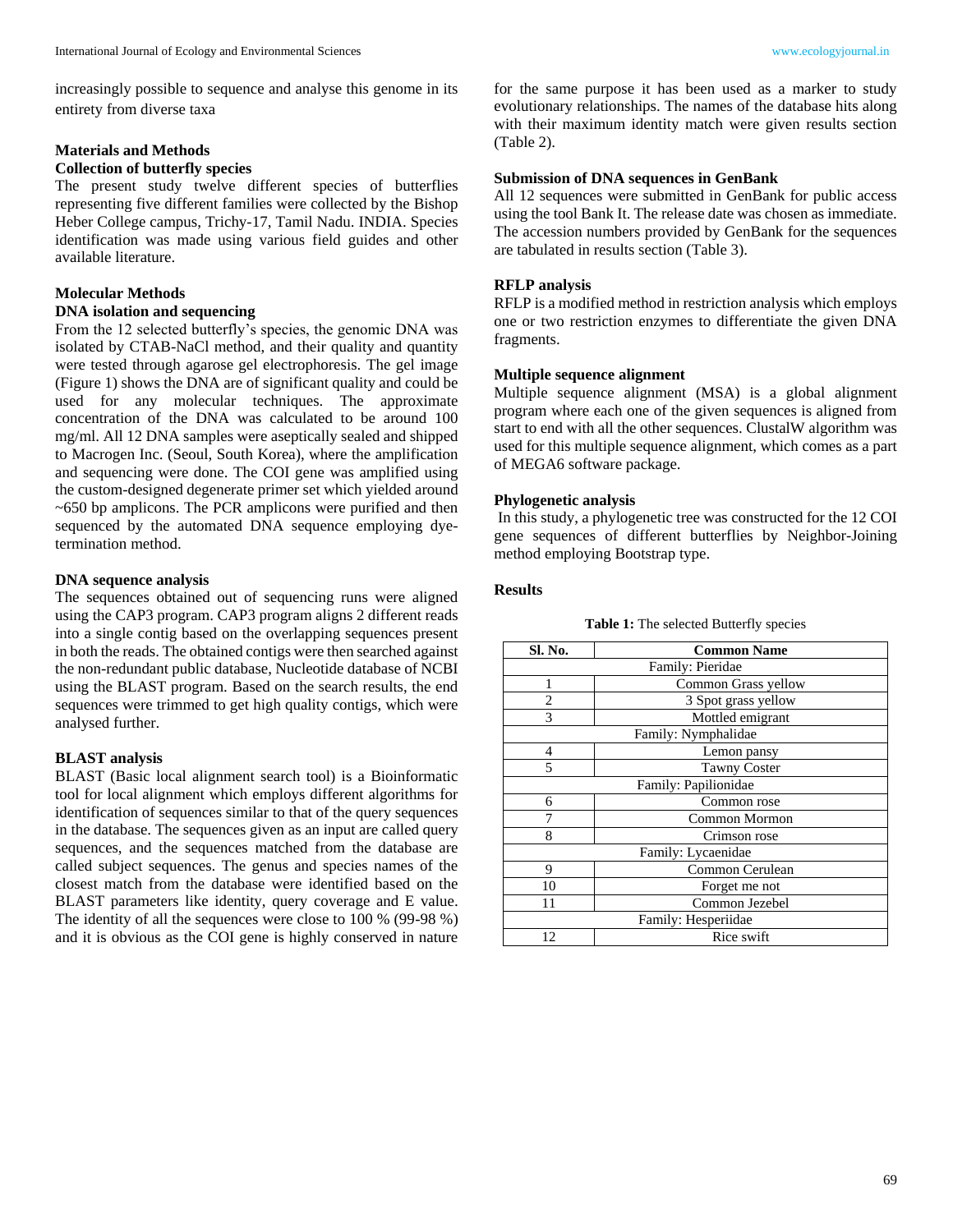increasingly possible to sequence and analyse this genome in its entirety from diverse taxa

# **Materials and Methods**

## **Collection of butterfly species**

The present study twelve different species of butterflies representing five different families were collected by the Bishop Heber College campus, Trichy-17, Tamil Nadu. INDIA. Species identification was made using various field guides and other available literature.

## **Molecular Methods**

#### **DNA isolation and sequencing**

From the 12 selected butterfly's species, the genomic DNA was isolated by CTAB-NaCl method, and their quality and quantity were tested through agarose gel electrophoresis. The gel image (Figure 1) shows the DNA are of significant quality and could be used for any molecular techniques. The approximate concentration of the DNA was calculated to be around 100 mg/ml. All 12 DNA samples were aseptically sealed and shipped to Macrogen Inc. (Seoul, South Korea), where the amplification and sequencing were done. The COI gene was amplified using the custom-designed degenerate primer set which yielded around  $\sim$  650 bp amplicons. The PCR amplicons were purified and then sequenced by the automated DNA sequence employing dyetermination method.

#### **DNA sequence analysis**

The sequences obtained out of sequencing runs were aligned using the CAP3 program. CAP3 program aligns 2 different reads into a single contig based on the overlapping sequences present in both the reads. The obtained contigs were then searched against the non-redundant public database, Nucleotide database of NCBI using the BLAST program. Based on the search results, the end sequences were trimmed to get high quality contigs, which were analysed further.

## **BLAST analysis**

BLAST (Basic local alignment search tool) is a Bioinformatic tool for local alignment which employs different algorithms for identification of sequences similar to that of the query sequences in the database. The sequences given as an input are called query sequences, and the sequences matched from the database are called subject sequences. The genus and species names of the closest match from the database were identified based on the BLAST parameters like identity, query coverage and E value. The identity of all the sequences were close to 100 % (99-98 %) and it is obvious as the COI gene is highly conserved in nature

for the same purpose it has been used as a marker to study evolutionary relationships. The names of the database hits along with their maximum identity match were given results section (Table 2).

## **Submission of DNA sequences in GenBank**

All 12 sequences were submitted in GenBank for public access using the tool Bank It. The release date was chosen as immediate. The accession numbers provided by GenBank for the sequences are tabulated in results section (Table 3).

## **RFLP analysis**

RFLP is a modified method in restriction analysis which employs one or two restriction enzymes to differentiate the given DNA fragments.

## **Multiple sequence alignment**

Multiple sequence alignment (MSA) is a global alignment program where each one of the given sequences is aligned from start to end with all the other sequences. ClustalW algorithm was used for this multiple sequence alignment, which comes as a part of MEGA6 software package.

#### **Phylogenetic analysis**

In this study, a phylogenetic tree was constructed for the 12 COI gene sequences of different butterflies by Neighbor-Joining method employing Bootstrap type.

## **Results**

|  |  |  | Table 1: The selected Butterfly species |  |
|--|--|--|-----------------------------------------|--|
|--|--|--|-----------------------------------------|--|

| Sl. No.              | <b>Common Name</b>  |  |  |  |
|----------------------|---------------------|--|--|--|
| Family: Pieridae     |                     |  |  |  |
| 1                    | Common Grass yellow |  |  |  |
| 2                    | 3 Spot grass yellow |  |  |  |
| 3                    | Mottled emigrant    |  |  |  |
| Family: Nymphalidae  |                     |  |  |  |
| $\overline{4}$       | Lemon pansy         |  |  |  |
| 5                    | <b>Tawny Coster</b> |  |  |  |
| Family: Papilionidae |                     |  |  |  |
| 6                    | Common rose         |  |  |  |
|                      | Common Mormon       |  |  |  |
| 8                    | Crimson rose        |  |  |  |
| Family: Lycaenidae   |                     |  |  |  |
| 9                    | Common Cerulean     |  |  |  |
| 10                   | Forget me not       |  |  |  |
| 11                   | Common Jezebel      |  |  |  |
| Family: Hesperiidae  |                     |  |  |  |
| 12                   | Rice swift          |  |  |  |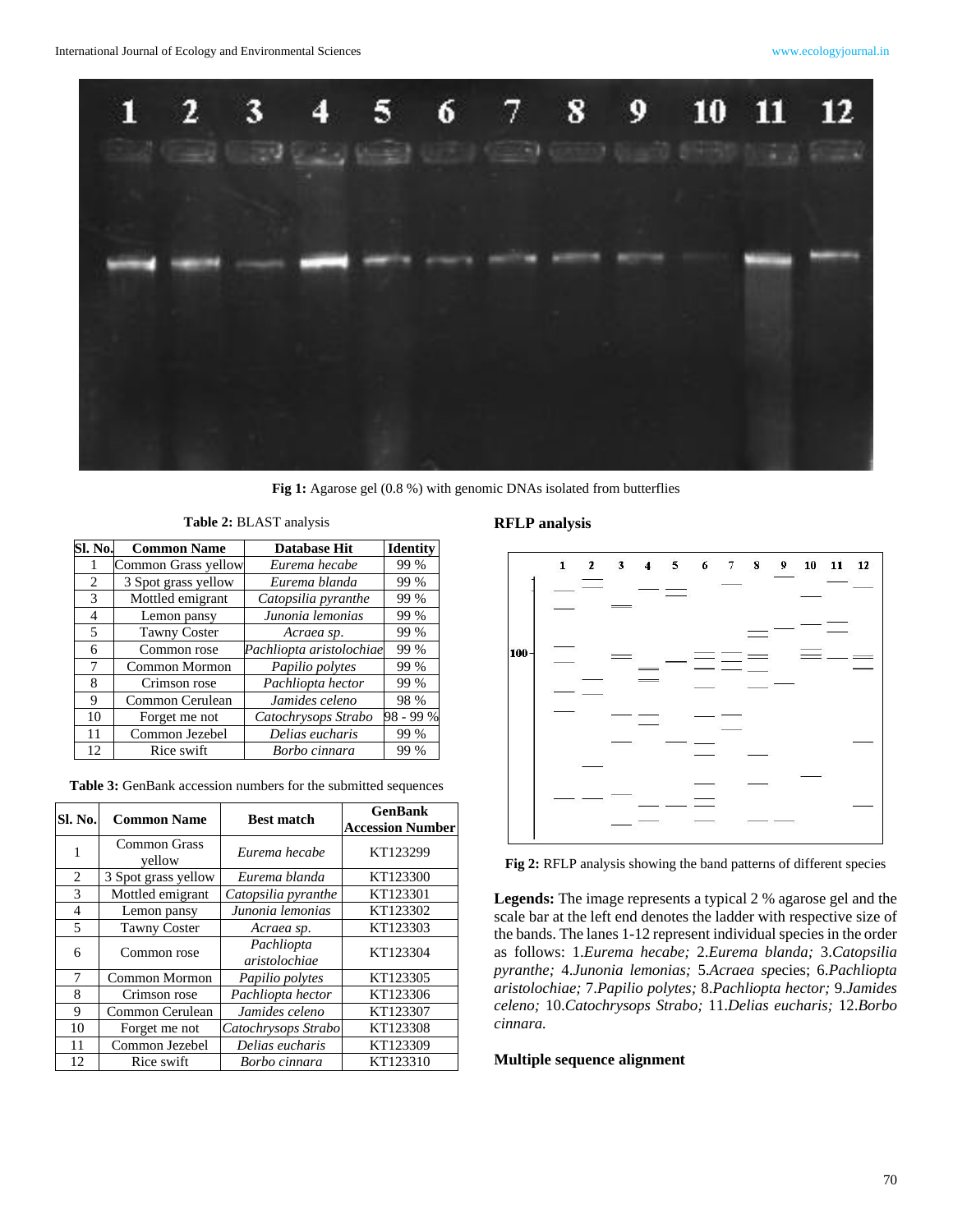

Fig 1: Agarose gel (0.8 %) with genomic DNAs isolated from butterflies

**Table 2:** BLAST analysis

| Sl. No. | <b>Common Name</b>  | <b>Database Hit</b>      | <b>Identity</b> |
|---------|---------------------|--------------------------|-----------------|
|         | Common Grass yellow | Eurema hecabe            | 99 %            |
| 2       | 3 Spot grass yellow | Eurema blanda            | 99 %            |
| 3       | Mottled emigrant    | Catopsilia pyranthe      | 99 %            |
| 4       | Lemon pansy         | Junonia lemonias         | 99 %            |
| 5       | <b>Tawny Coster</b> | Acraea sp.               | 99 %            |
| 6       | Common rose         | Pachliopta aristolochiae | 99 %            |
| 7       | Common Mormon       | Papilio polytes          | 99 %            |
| 8       | Crimson rose        | Pachliopta hector        | 99 %            |
| 9       | Common Cerulean     | Jamides celeno           | 98 %            |
| 10      | Forget me not       | Catochrysops Strabo      | 98 - 99 %       |
| 11      | Common Jezebel      | Delias eucharis          | 99 %            |
| 12      | Rice swift          | Borbo cinnara            | 99 %            |

**Table 3:** GenBank accession numbers for the submitted sequences

| Sl. No.        | <b>Common Name</b>            | <b>Best match</b>           | <b>GenBank</b><br><b>Accession Number</b> |
|----------------|-------------------------------|-----------------------------|-------------------------------------------|
| 1              | <b>Common Grass</b><br>yellow | Eurema hecabe               | KT123299                                  |
| 2              | 3 Spot grass yellow           | Eurema blanda               | KT123300                                  |
| 3              | Mottled emigrant              | Catopsilia pyranthe         | KT123301                                  |
| $\overline{4}$ | Lemon pansy                   | Junonia lemonias            | KT123302                                  |
| 5              | <b>Tawny Coster</b>           | Acraea sp.                  | KT123303                                  |
| 6              | Common rose                   | Pachliopta<br>aristolochiae | KT123304                                  |
| 7              | Common Mormon                 | Papilio polytes             | KT123305                                  |
| 8              | Crimson rose                  | Pachliopta hector           | KT123306                                  |
| 9              | Common Cerulean               | Jamides celeno              | KT123307                                  |
| 10             | Forget me not                 | Catochrysops Strabo         | KT123308                                  |
| 11             | Common Jezebel                | Delias eucharis             | KT123309                                  |
| 12             | Rice swift                    | Borbo cinnara               | KT123310                                  |

# **RFLP analysis**



**Fig 2:** RFLP analysis showing the band patterns of different species

**Legends:** The image represents a typical 2 % agarose gel and the scale bar at the left end denotes the ladder with respective size of the bands. The lanes 1-12 represent individual species in the order as follows: 1.*Eurema hecabe;* 2.*Eurema blanda;* 3.*Catopsilia pyranthe;* 4.*Junonia lemonias;* 5.*Acraea sp*ecies; 6.*Pachliopta aristolochiae;* 7.*Papilio polytes;* 8.*Pachliopta hector;* 9.*Jamides celeno;* 10.*Catochrysops Strabo;* 11.*Delias eucharis;* 12.*Borbo cinnara.*

# **Multiple sequence alignment**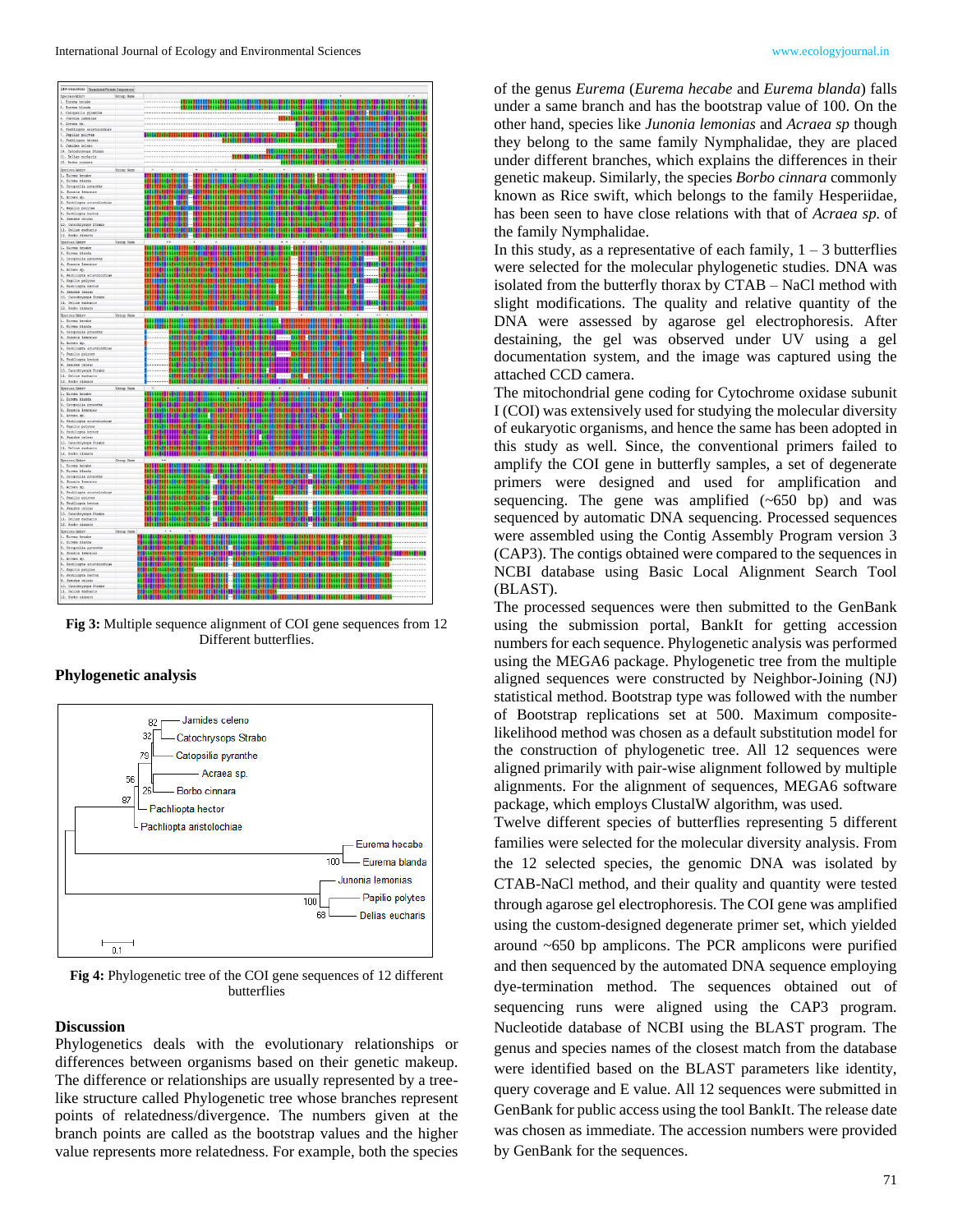

**Fig 3:** Multiple sequence alignment of COI gene sequences from 12 Different butterflies.

#### **Phylogenetic analysis**



**Fig 4:** Phylogenetic tree of the COI gene sequences of 12 different butterflies

# **Discussion**

Phylogenetics deals with the evolutionary relationships or differences between organisms based on their genetic makeup. The difference or relationships are usually represented by a treelike structure called Phylogenetic tree whose branches represent points of relatedness/divergence. The numbers given at the branch points are called as the bootstrap values and the higher value represents more relatedness. For example, both the species of the genus *Eurema* (*Eurema hecabe* and *Eurema blanda*) falls under a same branch and has the bootstrap value of 100. On the other hand, species like *Junonia lemonias* and *Acraea sp* though they belong to the same family Nymphalidae, they are placed under different branches, which explains the differences in their genetic makeup. Similarly, the species *Borbo cinnara* commonly known as Rice swift, which belongs to the family Hesperiidae*,*  has been seen to have close relations with that of *Acraea sp.* of the family Nymphalidae.

In this study, as a representative of each family,  $1 - 3$  butterflies were selected for the molecular phylogenetic studies. DNA was isolated from the butterfly thorax by CTAB – NaCl method with slight modifications. The quality and relative quantity of the DNA were assessed by agarose gel electrophoresis. After destaining, the gel was observed under UV using a gel documentation system, and the image was captured using the attached CCD camera.

The mitochondrial gene coding for Cytochrome oxidase subunit I (COI) was extensively used for studying the molecular diversity of eukaryotic organisms, and hence the same has been adopted in this study as well. Since, the conventional primers failed to amplify the COI gene in butterfly samples, a set of degenerate primers were designed and used for amplification and sequencing. The gene was amplified  $(\sim 650$  bp) and was sequenced by automatic DNA sequencing. Processed sequences were assembled using the Contig Assembly Program version 3 (CAP3). The contigs obtained were compared to the sequences in NCBI database using Basic Local Alignment Search Tool (BLAST).

The processed sequences were then submitted to the GenBank using the submission portal, BankIt for getting accession numbers for each sequence. Phylogenetic analysis was performed using the MEGA6 package. Phylogenetic tree from the multiple aligned sequences were constructed by Neighbor-Joining (NJ) statistical method. Bootstrap type was followed with the number of Bootstrap replications set at 500. Maximum compositelikelihood method was chosen as a default substitution model for the construction of phylogenetic tree. All 12 sequences were aligned primarily with pair-wise alignment followed by multiple alignments. For the alignment of sequences, MEGA6 software package, which employs ClustalW algorithm, was used.

Twelve different species of butterflies representing 5 different families were selected for the molecular diversity analysis. From the 12 selected species, the genomic DNA was isolated by CTAB-NaCl method, and their quality and quantity were tested through agarose gel electrophoresis. The COI gene was amplified using the custom-designed degenerate primer set, which yielded around ~650 bp amplicons. The PCR amplicons were purified and then sequenced by the automated DNA sequence employing dye-termination method. The sequences obtained out of sequencing runs were aligned using the CAP3 program. Nucleotide database of NCBI using the BLAST program. The genus and species names of the closest match from the database were identified based on the BLAST parameters like identity, query coverage and E value. All 12 sequences were submitted in GenBank for public access using the tool BankIt. The release date was chosen as immediate. The accession numbers were provided by GenBank for the sequences.